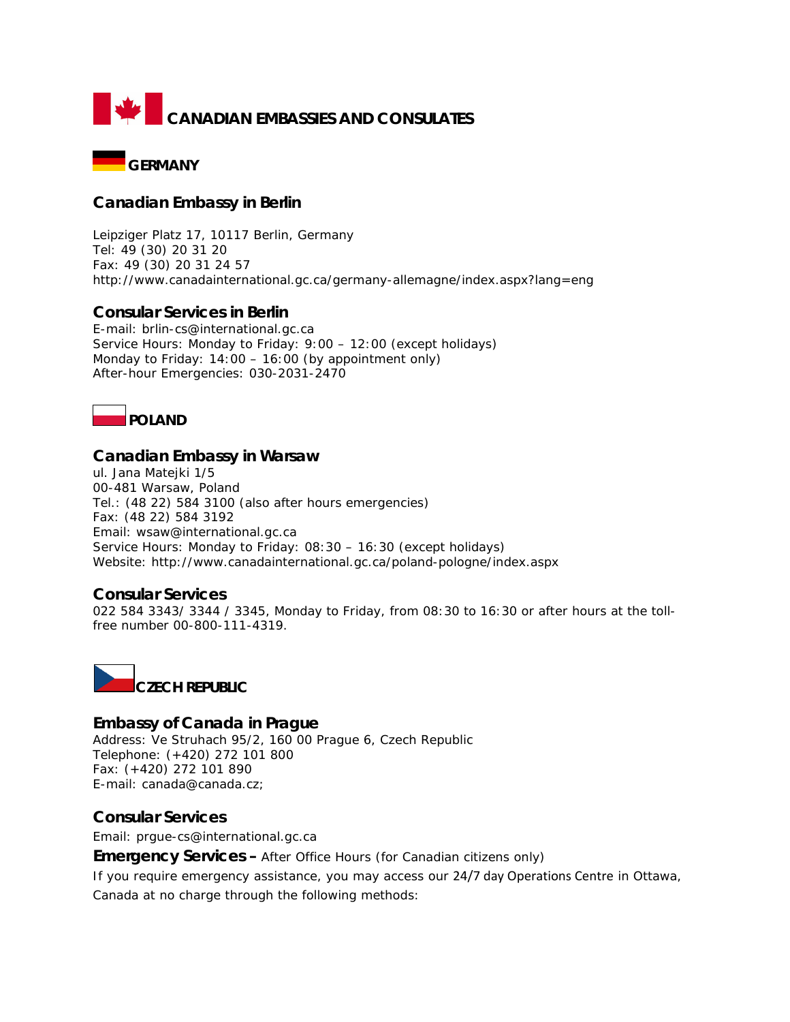



# **Canadian Embassy in Berlin**

Leipziger Platz 17, 10117 Berlin, Germany Tel: 49 (30) 20 31 20 Fax: 49 (30) 20 31 24 57 <http://www.canadainternational.gc.ca/germany-allemagne/index.aspx?lang=eng>

## **Consular Services in Berlin**

E-mail: brlin-cs@international.gc.ca Service Hours: Monday to Friday: 9:00 – 12:00 (except holidays) Monday to Friday: 14:00 – 16:00 (by appointment only) After-hour Emergencies: 030-2031-2470

**POLAND**

## **Canadian Embassy in Warsaw**

ul. Jana Matejki 1/5 00-481 Warsaw, Poland Tel.: (48 22) 584 3100 (also after hours emergencies) Fax: (48 22) 584 3192 Email: wsaw@international.gc.ca Service Hours: Monday to Friday: 08:30 – 16:30 (except holidays) Website: http://www.canadainternational.gc.ca/poland-pologne/index.aspx

## **Consular Services**

022 584 3343/ 3344 / 3345, Monday to Friday, from 08:30 to 16:30 or after hours at the tollfree number 00-800-111-4319.



**Embassy of Canada in Prague** Address: Ve Struhach 95/2, 160 00 Prague 6, Czech Republic Telephone: (+420) 272 101 800 Fax: (+420) 272 101 890 E-mail: [canada@canada.cz;](mailto:canada@canada.cz)

## **Consular Services**

Email: [prgue-cs@international.gc.ca](mailto:prgue-cs@international.gc.ca)

**Emergency Services –** After Office Hours (for Canadian citizens only)

If you require emergency assistance, you may access our [24/7 day Operations Centre](http://www.voyage.gc.ca/contact/emergency_urgence-eng.asp) in Ottawa, Canada at no charge through the following methods: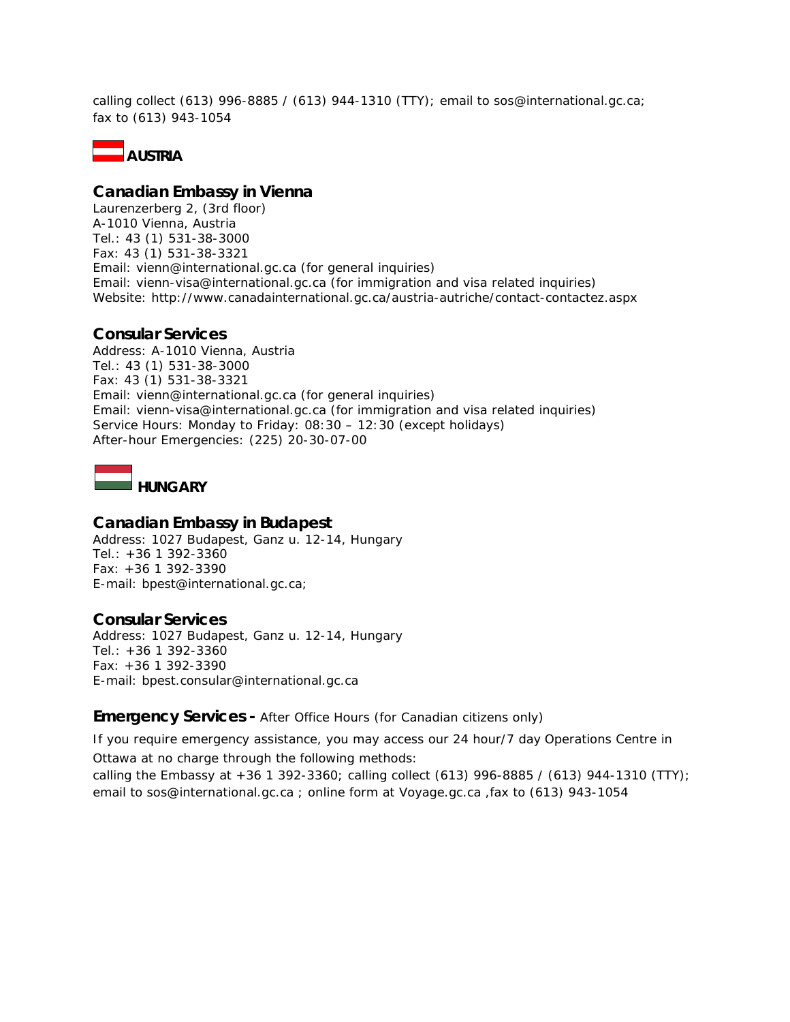calling collect (613) 996-8885 / (613) 944-1310 (TTY); email to [sos@international.gc.ca;](mailto:sos@international.gc.ca) fax to (613) 943-1054



### **Canadian Embassy in Vienna**

Laurenzerberg 2, (3rd floor) A-1010 Vienna, Austria Tel.: 43 (1) 531-38-3000 Fax: 43 (1) 531-38-3321 Email: [vienn@international.gc.ca](mailto:vienn@international.gc.ca) (for general inquiries) Email: [vienn-visa@international.gc.ca](mailto:vienn-visa@international.gc.ca) (for immigration and visa related inquiries) Website: http://www.canadainternational.gc.ca/austria-autriche/contact-contactez.aspx

## **Consular Services**

Address: A-1010 Vienna, Austria Tel.: 43 (1) 531-38-3000 Fax: 43 (1) 531-38-3321 Email: [vienn@international.gc.ca](mailto:vienn@international.gc.ca) (for general inquiries) Email: [vienn-visa@international.gc.ca](mailto:vienn-visa@international.gc.ca) (for immigration and visa related inquiries) Service Hours: Monday to Friday: 08:30 – 12:30 (except holidays) After-hour Emergencies: (225) 20-30-07-00

**HUNGARY**

## **Canadian Embassy in Budapest**

Address: 1027 Budapest, Ganz u. 12-14, Hungary Tel.: +36 1 392-3360 Fax: +36 1 392-3390 E-mail: [bpest@international.gc.ca;](mailto:bpest@international.gc.ca)

## **Consular Services**

Address: 1027 Budapest, Ganz u. 12-14, Hungary Tel.: +36 1 392-3360 Fax: +36 1 392-3390 E-mail: [bpest.consular@international.gc.ca](mailto:bpest.consular@international.gc.ca)

#### **Emergency Services -** After Office Hours (for Canadian citizens only)

If you require emergency assistance, you may access our 24 hour/7 day Operations Centre in Ottawa at no charge through the following methods:

calling the Embassy at +36 1 392-3360; calling collect (613) 996-8885 / (613) 944-1310 (TTY); email to [sos@international.gc.ca](mailto:sos@international.gc.ca) ; online form at Voyage.gc.ca ,fax to (613) 943-1054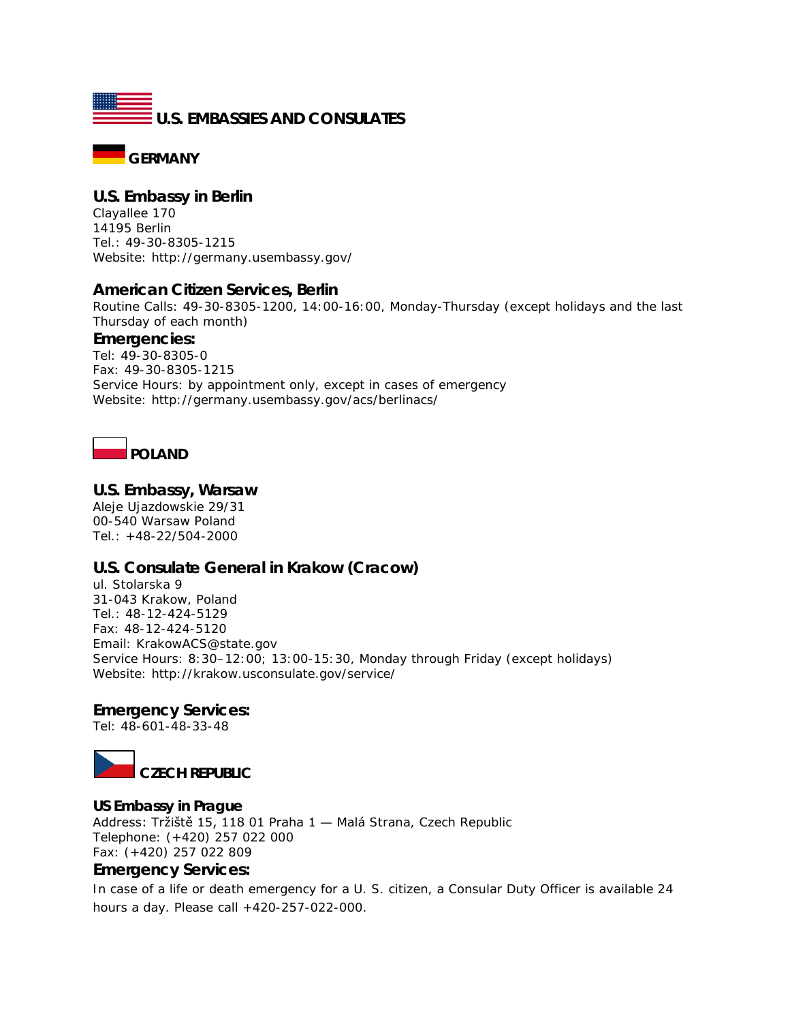



## **U.S. Embassy in Berlin**

Clayallee 170 14195 Berlin Tel.: 49-30-8305-1215 Website: http://germany.usembassy.gov/

#### **American Citizen Services, Berlin**

Routine Calls: 49-30-8305-1200, 14:00-16:00, Monday-Thursday (except holidays and the last Thursday of each month)

#### **Emergencies:**

Tel: 49-30-8305-0 Fax: 49-30-8305-1215 Service Hours: by appointment only, except in cases of emergency Website: http://germany.usembassy.gov/acs/berlinacs/



## **U.S. Embassy, Warsaw**

Aleje Ujazdowskie 29/31 00-540 Warsaw Poland Tel.: +48-22/504-2000

## **U.S. Consulate General in Krakow (Cracow)**

ul. Stolarska 9 31-043 Krakow, Poland Tel.: 48-12-424-5129 Fax: 48-12-424-5120 Email: KrakowACS@state.gov Service Hours: 8:30–12:00; 13:00-15:30, Monday through Friday (except holidays) Website: http://krakow.usconsulate.gov/service/

## **Emergency Services:**

Tel: 48-601-48-33-48



#### **US Embassy in Prague**

Address: Tržiště 15, 118 01 Praha 1 — Malá Strana, Czech Republic Telephone: (+420) 257 022 000 Fax: (+420) 257 022 809

## **Emergency Services:**

In case of a life or death emergency for a U. S. citizen, a Consular Duty Officer is available 24 hours a day. Please call +420-257-022-000.